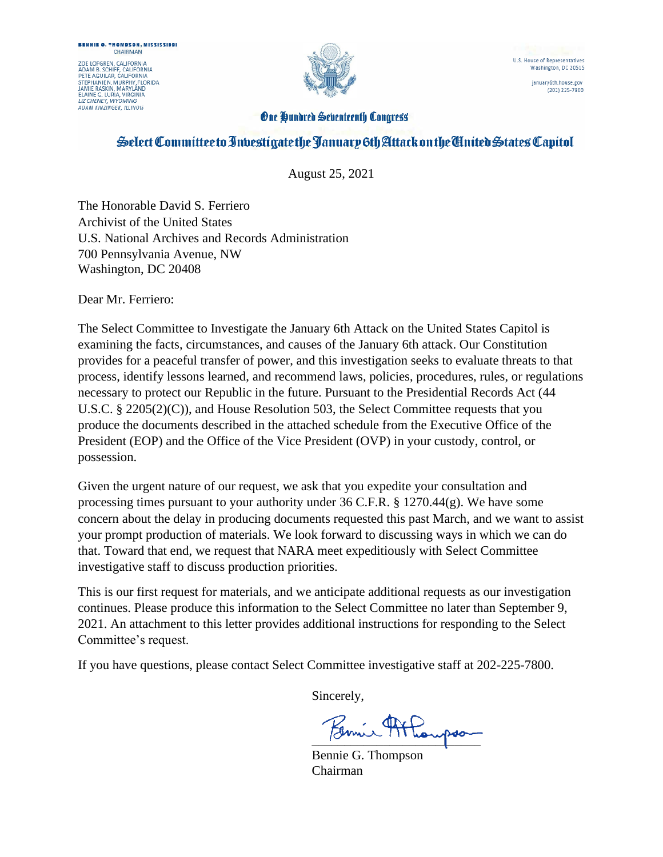ZOE LOFGREN, CALIFORNIA<br>ADAM B. SCHIFF, CALIFORNIA<br>PETE AGUILAR, CALIFORNIA **STEPHANIEN MURPHY FLORIDA** STEPHANIEN: MURPHY, FLO<br>JAMIE RASKIN, MARYLAND<br>ELAINE G. LURIA, VIRGINIA<br>*LIZ CHENEY, WYOMING* **ADAM KINZINGER, ILLINOIS** 



U.S. House of Representatives Washington, DC 20515

january6th.house.gov (202) 225-7800

#### **One Hundred Seventeenth Congress**

# Select Committee to Investigate the January 6th Attack on the Chrited States Capitol

August 25, 2021

The Honorable David S. Ferriero Archivist of the United States U.S. National Archives and Records Administration 700 Pennsylvania Avenue, NW Washington, DC 20408

Dear Mr. Ferriero:

The Select Committee to Investigate the January 6th Attack on the United States Capitol is examining the facts, circumstances, and causes of the January 6th attack. Our Constitution provides for a peaceful transfer of power, and this investigation seeks to evaluate threats to that process, identify lessons learned, and recommend laws, policies, procedures, rules, or regulations necessary to protect our Republic in the future. Pursuant to the Presidential Records Act (44 U.S.C. § 2205(2)(C)), and House Resolution 503, the Select Committee requests that you produce the documents described in the attached schedule from the Executive Office of the President (EOP) and the Office of the Vice President (OVP) in your custody, control, or possession.

Given the urgent nature of our request, we ask that you expedite your consultation and processing times pursuant to your authority under 36 C.F.R. § 1270.44(g). We have some concern about the delay in producing documents requested this past March, and we want to assist your prompt production of materials. We look forward to discussing ways in which we can do that. Toward that end, we request that NARA meet expeditiously with Select Committee investigative staff to discuss production priorities.

This is our first request for materials, and we anticipate additional requests as our investigation continues. Please produce this information to the Select Committee no later than September 9, 2021. An attachment to this letter provides additional instructions for responding to the Select Committee's request.

If you have questions, please contact Select Committee investigative staff at 202-225-7800.

Sincerely,

 $\overline{\phantom{a}}$ 

Bennie G. Thompson Chairman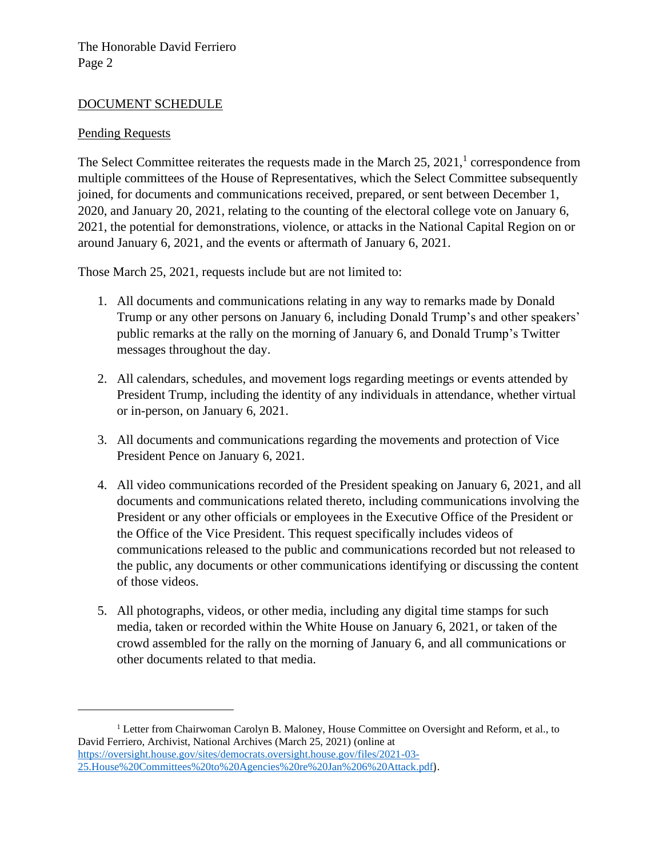#### DOCUMENT SCHEDULE

#### Pending Requests

The Select Committee reiterates the requests made in the March  $25, 2021$ ,<sup>1</sup> correspondence from multiple committees of the House of Representatives, which the Select Committee subsequently joined, for documents and communications received, prepared, or sent between December 1, 2020, and January 20, 2021, relating to the counting of the electoral college vote on January 6, 2021, the potential for demonstrations, violence, or attacks in the National Capital Region on or around January 6, 2021, and the events or aftermath of January 6, 2021.

Those March 25, 2021, requests include but are not limited to:

- 1. All documents and communications relating in any way to remarks made by Donald Trump or any other persons on January 6, including Donald Trump's and other speakers' public remarks at the rally on the morning of January 6, and Donald Trump's Twitter messages throughout the day.
- 2. All calendars, schedules, and movement logs regarding meetings or events attended by President Trump, including the identity of any individuals in attendance, whether virtual or in-person, on January 6, 2021.
- 3. All documents and communications regarding the movements and protection of Vice President Pence on January 6, 2021.
- 4. All video communications recorded of the President speaking on January 6, 2021, and all documents and communications related thereto, including communications involving the President or any other officials or employees in the Executive Office of the President or the Office of the Vice President. This request specifically includes videos of communications released to the public and communications recorded but not released to the public, any documents or other communications identifying or discussing the content of those videos.
- 5. All photographs, videos, or other media, including any digital time stamps for such media, taken or recorded within the White House on January 6, 2021, or taken of the crowd assembled for the rally on the morning of January 6, and all communications or other documents related to that media.

<sup>1</sup> Letter from Chairwoman Carolyn B. Maloney, House Committee on Oversight and Reform, et al., to David Ferriero, Archivist, National Archives (March 25, 2021) (online at https://oversight.house.gov/sites/democrats.oversight.house.gov/files/2021-03- 25.House%20Committees%20to%20Agencies%20re%20Jan%206%20Attack.pdf).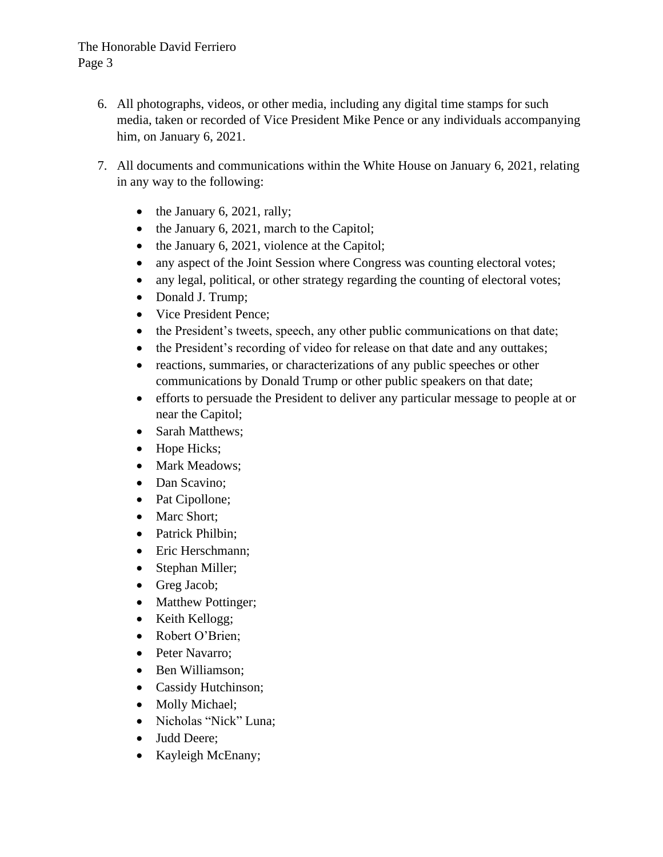### The Honorable David Ferriero Page 3

- 6. All photographs, videos, or other media, including any digital time stamps for such media, taken or recorded of Vice President Mike Pence or any individuals accompanying him, on January 6, 2021.
- 7. All documents and communications within the White House on January 6, 2021, relating in any way to the following:
	- $\bullet$  the January 6, 2021, rally;
	- the January 6, 2021, march to the Capitol;
	- the January 6, 2021, violence at the Capitol;
	- any aspect of the Joint Session where Congress was counting electoral votes;
	- any legal, political, or other strategy regarding the counting of electoral votes;
	- Donald J. Trump;
	- Vice President Pence;
	- the President's tweets, speech, any other public communications on that date;
	- the President's recording of video for release on that date and any outtakes;
	- reactions, summaries, or characterizations of any public speeches or other communications by Donald Trump or other public speakers on that date;
	- efforts to persuade the President to deliver any particular message to people at or near the Capitol;
	- Sarah Matthews;
	- Hope Hicks;
	- Mark Meadows;
	- Dan Scavino;
	- Pat Cipollone;
	- Marc Short;
	- Patrick Philbin;
	- Eric Herschmann;
	- Stephan Miller;
	- Greg Jacob;
	- Matthew Pottinger;
	- Keith Kellogg;
	- Robert O'Brien;
	- Peter Navarro;
	- Ben Williamson;
	- Cassidy Hutchinson;
	- Molly Michael;
	- Nicholas "Nick" Luna;
	- Judd Deere;
	- Kayleigh McEnany;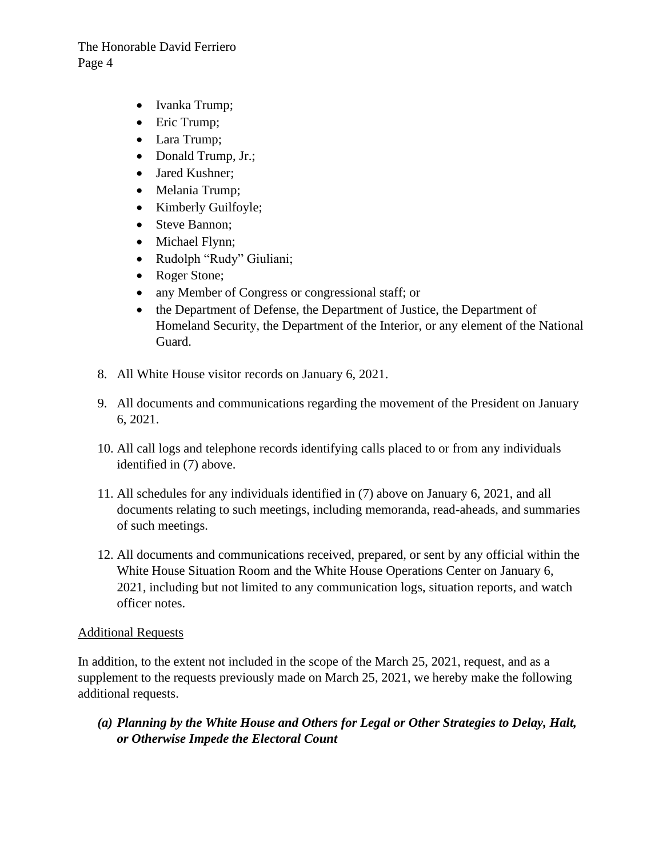### The Honorable David Ferriero Page 4

- Ivanka Trump;
- Eric Trump;
- Lara Trump;
- Donald Trump, Jr.;
- Jared Kushner;
- Melania Trump;
- Kimberly Guilfoyle;
- Steve Bannon;
- Michael Flynn;
- Rudolph "Rudy" Giuliani;
- Roger Stone;
- any Member of Congress or congressional staff; or
- the Department of Defense, the Department of Justice, the Department of Homeland Security, the Department of the Interior, or any element of the National Guard.
- 8. All White House visitor records on January 6, 2021.
- 9. All documents and communications regarding the movement of the President on January 6, 2021.
- 10. All call logs and telephone records identifying calls placed to or from any individuals identified in (7) above.
- 11. All schedules for any individuals identified in (7) above on January 6, 2021, and all documents relating to such meetings, including memoranda, read-aheads, and summaries of such meetings.
- 12. All documents and communications received, prepared, or sent by any official within the White House Situation Room and the White House Operations Center on January 6, 2021, including but not limited to any communication logs, situation reports, and watch officer notes.

### Additional Requests

In addition, to the extent not included in the scope of the March 25, 2021, request, and as a supplement to the requests previously made on March 25, 2021, we hereby make the following additional requests.

*(a) Planning by the White House and Others for Legal or Other Strategies to Delay, Halt, or Otherwise Impede the Electoral Count*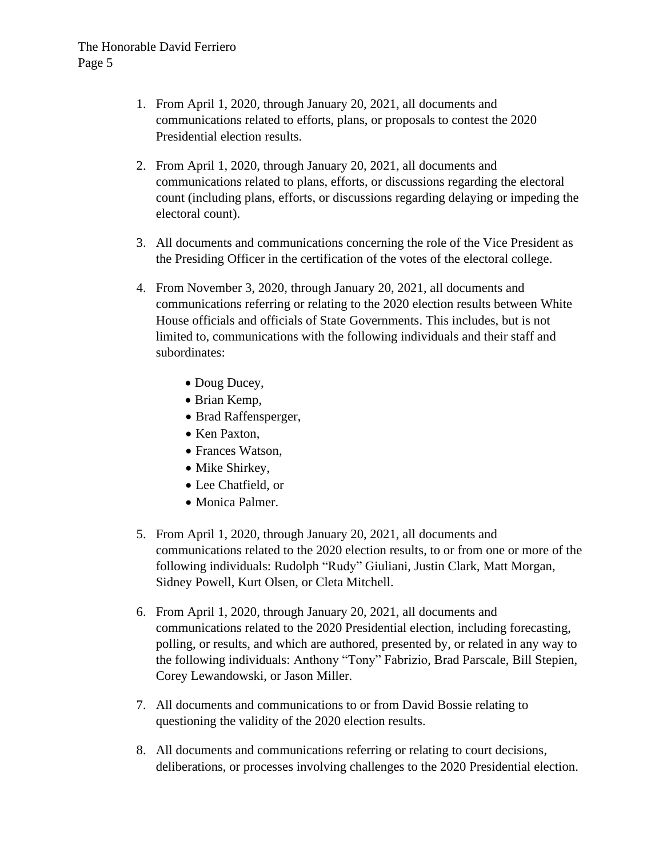- 1. From April 1, 2020, through January 20, 2021, all documents and communications related to efforts, plans, or proposals to contest the 2020 Presidential election results.
- 2. From April 1, 2020, through January 20, 2021, all documents and communications related to plans, efforts, or discussions regarding the electoral count (including plans, efforts, or discussions regarding delaying or impeding the electoral count).
- 3. All documents and communications concerning the role of the Vice President as the Presiding Officer in the certification of the votes of the electoral college.
- 4. From November 3, 2020, through January 20, 2021, all documents and communications referring or relating to the 2020 election results between White House officials and officials of State Governments. This includes, but is not limited to, communications with the following individuals and their staff and subordinates:
	- Doug Ducey,
	- Brian Kemp,
	- Brad Raffensperger,
	- Ken Paxton,
	- Frances Watson,
	- Mike Shirkey,
	- Lee Chatfield, or
	- Monica Palmer.
- 5. From April 1, 2020, through January 20, 2021, all documents and communications related to the 2020 election results, to or from one or more of the following individuals: Rudolph "Rudy" Giuliani, Justin Clark, Matt Morgan, Sidney Powell, Kurt Olsen, or Cleta Mitchell.
- 6. From April 1, 2020, through January 20, 2021, all documents and communications related to the 2020 Presidential election, including forecasting, polling, or results, and which are authored, presented by, or related in any way to the following individuals: Anthony "Tony" Fabrizio, Brad Parscale, Bill Stepien, Corey Lewandowski, or Jason Miller.
- 7. All documents and communications to or from David Bossie relating to questioning the validity of the 2020 election results.
- 8. All documents and communications referring or relating to court decisions, deliberations, or processes involving challenges to the 2020 Presidential election.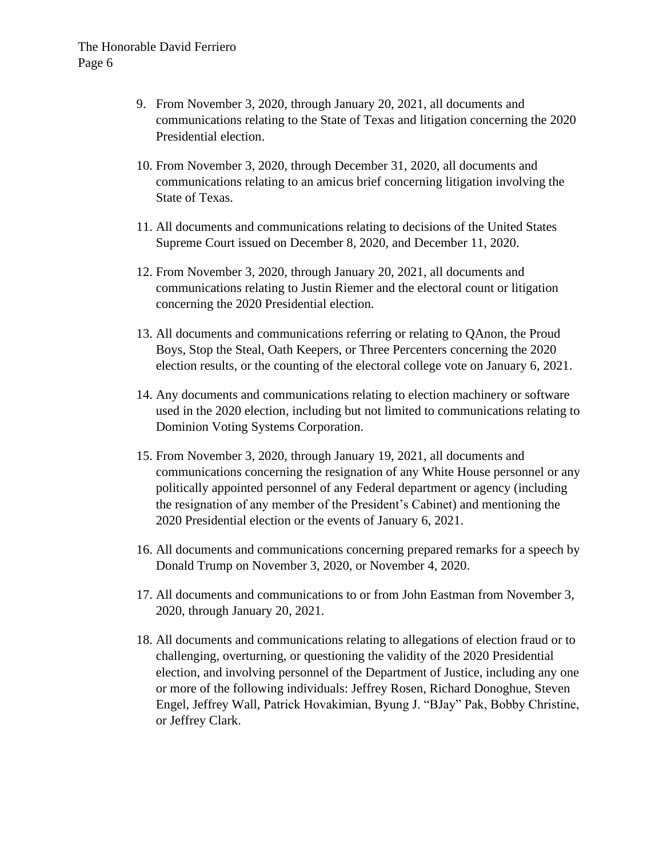- 9. From November 3, 2020, through January 20, 2021, all documents and communications relating to the State of Texas and litigation concerning the 2020 Presidential election.
- 10. From November 3, 2020, through December 31, 2020, all documents and communications relating to an amicus brief concerning litigation involving the State of Texas.
- 11. All documents and communications relating to decisions of the United States Supreme Court issued on December 8, 2020, and December 11, 2020.
- 12. From November 3, 2020, through January 20, 2021, all documents and communications relating to Justin Riemer and the electoral count or litigation concerning the 2020 Presidential election.
- 13. All documents and communications referring or relating to QAnon, the Proud Boys, Stop the Steal, Oath Keepers, or Three Percenters concerning the 2020 election results, or the counting of the electoral college vote on January 6, 2021.
- 14. Any documents and communications relating to election machinery or software used in the 2020 election, including but not limited to communications relating to Dominion Voting Systems Corporation.
- 15. From November 3, 2020, through January 19, 2021, all documents and communications concerning the resignation of any White House personnel or any politically appointed personnel of any Federal department or agency (including the resignation of any member of the President's Cabinet) and mentioning the 2020 Presidential election or the events of January 6, 2021.
- 16. All documents and communications concerning prepared remarks for a speech by Donald Trump on November 3, 2020, or November 4, 2020.
- 17. All documents and communications to or from John Eastman from November 3, 2020, through January 20, 2021.
- 18. All documents and communications relating to allegations of election fraud or to challenging, overturning, or questioning the validity of the 2020 Presidential election, and involving personnel of the Department of Justice, including any one or more of the following individuals: Jeffrey Rosen, Richard Donoghue, Steven Engel, Jeffrey Wall, Patrick Hovakimian, Byung J. "BJay" Pak, Bobby Christine, or Jeffrey Clark.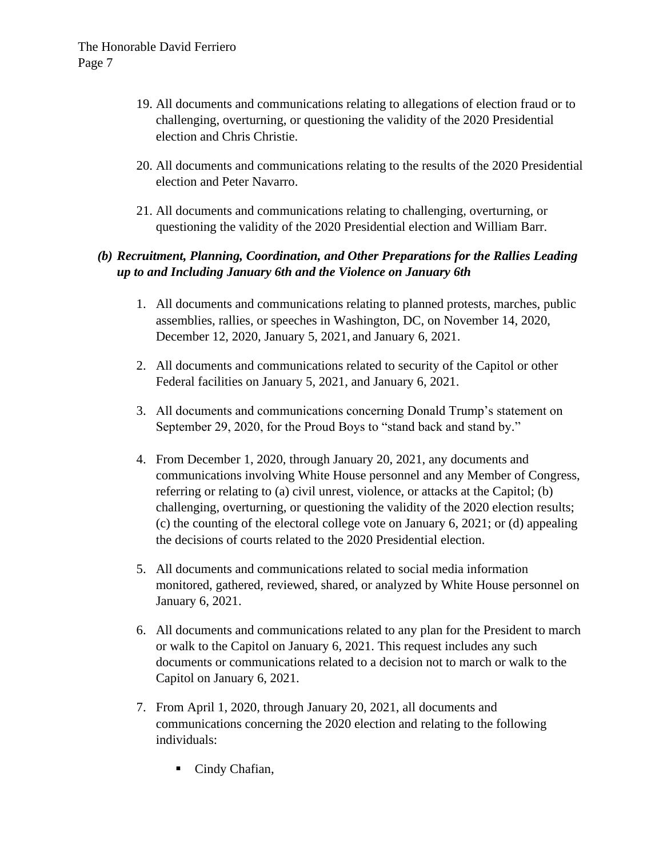- 19. All documents and communications relating to allegations of election fraud or to challenging, overturning, or questioning the validity of the 2020 Presidential election and Chris Christie.
- 20. All documents and communications relating to the results of the 2020 Presidential election and Peter Navarro.
- 21. All documents and communications relating to challenging, overturning, or questioning the validity of the 2020 Presidential election and William Barr.

## *(b) Recruitment, Planning, Coordination, and Other Preparations for the Rallies Leading up to and Including January 6th and the Violence on January 6th*

- 1. All documents and communications relating to planned protests, marches, public assemblies, rallies, or speeches in Washington, DC, on November 14, 2020, December 12, 2020, January 5, 2021, and January 6, 2021.
- 2. All documents and communications related to security of the Capitol or other Federal facilities on January 5, 2021, and January 6, 2021.
- 3. All documents and communications concerning Donald Trump's statement on September 29, 2020, for the Proud Boys to "stand back and stand by."
- 4. From December 1, 2020, through January 20, 2021, any documents and communications involving White House personnel and any Member of Congress, referring or relating to (a) civil unrest, violence, or attacks at the Capitol; (b) challenging, overturning, or questioning the validity of the 2020 election results; (c) the counting of the electoral college vote on January 6, 2021; or (d) appealing the decisions of courts related to the 2020 Presidential election.
- 5. All documents and communications related to social media information monitored, gathered, reviewed, shared, or analyzed by White House personnel on January 6, 2021.
- 6. All documents and communications related to any plan for the President to march or walk to the Capitol on January 6, 2021. This request includes any such documents or communications related to a decision not to march or walk to the Capitol on January 6, 2021.
- 7. From April 1, 2020, through January 20, 2021, all documents and communications concerning the 2020 election and relating to the following individuals:
	- Cindy Chafian,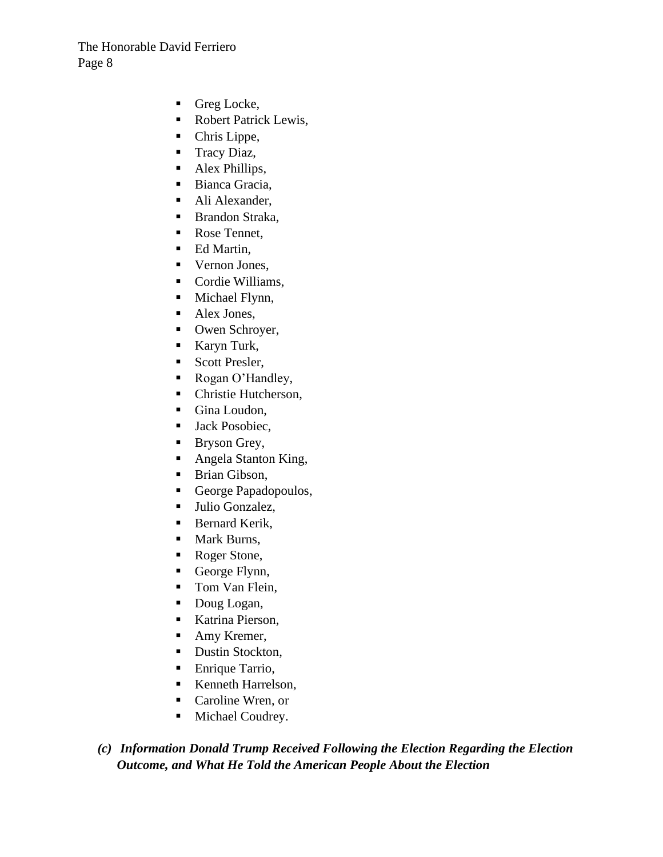- Greg Locke,
- Robert Patrick Lewis,
- Chris Lippe,
- Tracy Diaz,
- Alex Phillips,
- Bianca Gracia,
- Ali Alexander,
- Brandon Straka,
- Rose Tennet,
- Ed Martin,
- Vernon Jones,
- Cordie Williams,
- Michael Flynn,
- Alex Jones,
- Owen Schroyer,
- Karyn Turk,
- Scott Presler,
- Rogan O'Handley,
- Christie Hutcherson,
- Gina Loudon,
- Jack Posobiec,
- Bryson Grey,
- Angela Stanton King,
- **Example 1** Brian Gibson,
- George Papadopoulos,
- Julio Gonzalez,
- Bernard Kerik,
- Mark Burns,
- Roger Stone,
- George Flynn,
- Tom Van Flein,
- Doug Logan,
- Katrina Pierson,
- Amy Kremer,
- Dustin Stockton,
- Enrique Tarrio,
- Kenneth Harrelson,
- Caroline Wren, or
- Michael Coudrey.

*(c) Information Donald Trump Received Following the Election Regarding the Election Outcome, and What He Told the American People About the Election*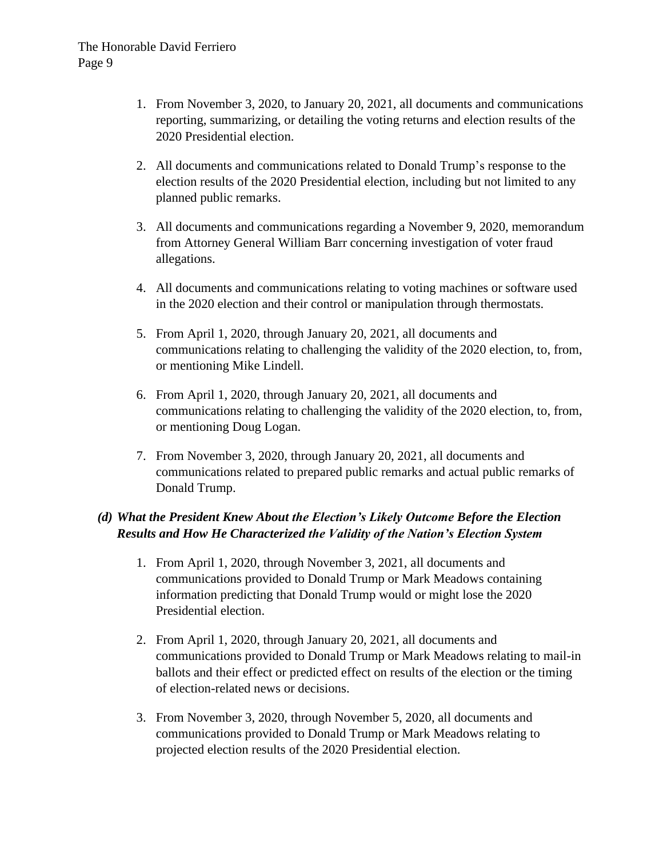- 1. From November 3, 2020, to January 20, 2021, all documents and communications reporting, summarizing, or detailing the voting returns and election results of the 2020 Presidential election.
- 2. All documents and communications related to Donald Trump's response to the election results of the 2020 Presidential election, including but not limited to any planned public remarks.
- 3. All documents and communications regarding a November 9, 2020, memorandum from Attorney General William Barr concerning investigation of voter fraud allegations.
- 4. All documents and communications relating to voting machines or software used in the 2020 election and their control or manipulation through thermostats.
- 5. From April 1, 2020, through January 20, 2021, all documents and communications relating to challenging the validity of the 2020 election, to, from, or mentioning Mike Lindell.
- 6. From April 1, 2020, through January 20, 2021, all documents and communications relating to challenging the validity of the 2020 election, to, from, or mentioning Doug Logan.
- 7. From November 3, 2020, through January 20, 2021, all documents and communications related to prepared public remarks and actual public remarks of Donald Trump.

## *(d) What the President Knew About the Election's Likely Outcome Before the Election Results and How He Characterized the Validity of the Nation's Election System*

- 1. From April 1, 2020, through November 3, 2021, all documents and communications provided to Donald Trump or Mark Meadows containing information predicting that Donald Trump would or might lose the 2020 Presidential election.
- 2. From April 1, 2020, through January 20, 2021, all documents and communications provided to Donald Trump or Mark Meadows relating to mail-in ballots and their effect or predicted effect on results of the election or the timing of election-related news or decisions.
- 3. From November 3, 2020, through November 5, 2020, all documents and communications provided to Donald Trump or Mark Meadows relating to projected election results of the 2020 Presidential election.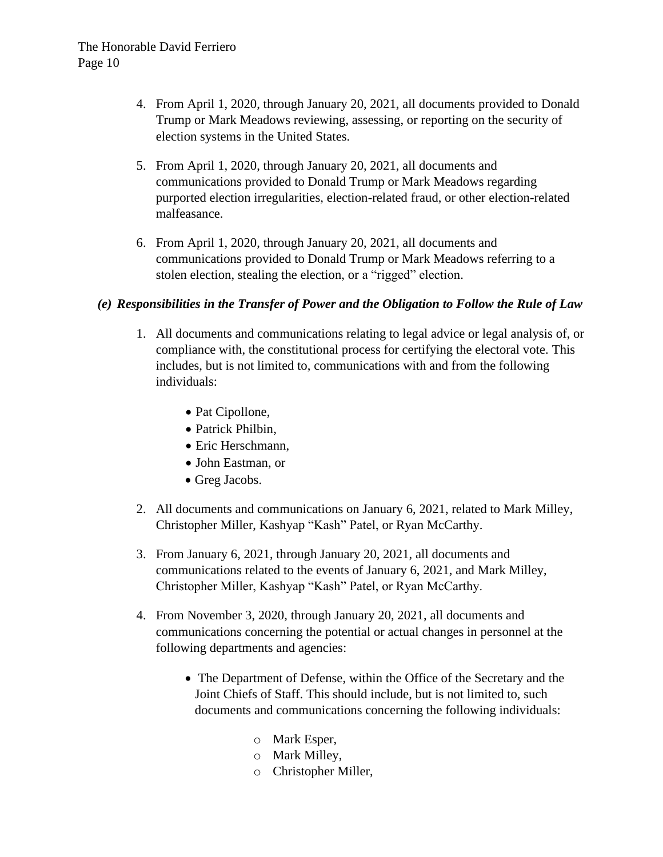- 4. From April 1, 2020, through January 20, 2021, all documents provided to Donald Trump or Mark Meadows reviewing, assessing, or reporting on the security of election systems in the United States.
- 5. From April 1, 2020, through January 20, 2021, all documents and communications provided to Donald Trump or Mark Meadows regarding purported election irregularities, election-related fraud, or other election-related malfeasance.
- 6. From April 1, 2020, through January 20, 2021, all documents and communications provided to Donald Trump or Mark Meadows referring to a stolen election, stealing the election, or a "rigged" election.

### *(e) Responsibilities in the Transfer of Power and the Obligation to Follow the Rule of Law*

- 1. All documents and communications relating to legal advice or legal analysis of, or compliance with, the constitutional process for certifying the electoral vote. This includes, but is not limited to, communications with and from the following individuals:
	- Pat Cipollone,
	- Patrick Philbin,
	- Eric Herschmann,
	- John Eastman, or
	- Greg Jacobs.
- 2. All documents and communications on January 6, 2021, related to Mark Milley, Christopher Miller, Kashyap "Kash" Patel, or Ryan McCarthy.
- 3. From January 6, 2021, through January 20, 2021, all documents and communications related to the events of January 6, 2021, and Mark Milley, Christopher Miller, Kashyap "Kash" Patel, or Ryan McCarthy.
- 4. From November 3, 2020, through January 20, 2021, all documents and communications concerning the potential or actual changes in personnel at the following departments and agencies:
	- The Department of Defense, within the Office of the Secretary and the Joint Chiefs of Staff. This should include, but is not limited to, such documents and communications concerning the following individuals:
		- o Mark Esper,
		- o Mark Milley,
		- o Christopher Miller,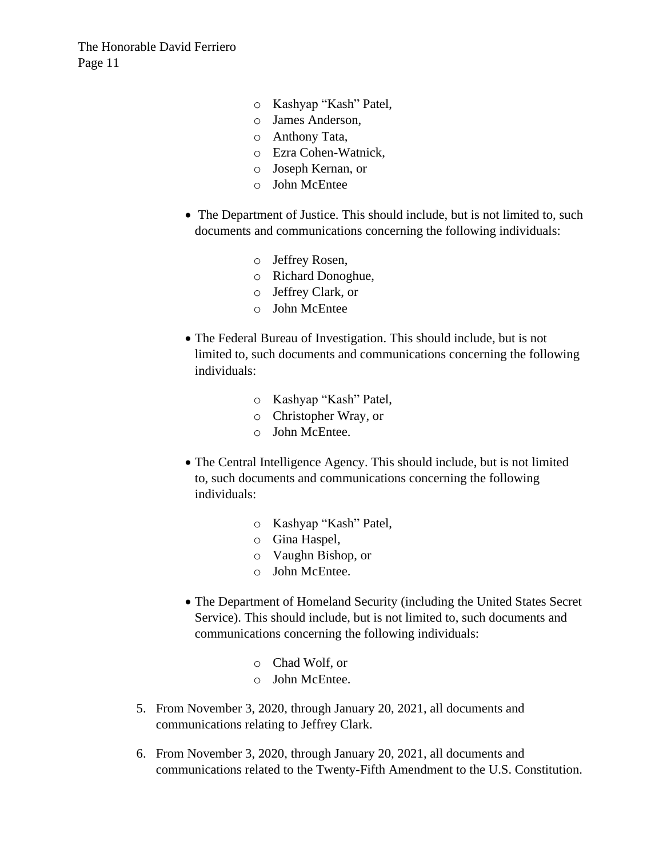The Honorable David Ferriero Page 11

- o Kashyap "Kash" Patel,
- o James Anderson,
- o Anthony Tata,
- o Ezra Cohen-Watnick,
- o Joseph Kernan, or
- o John McEntee
- The Department of Justice. This should include, but is not limited to, such documents and communications concerning the following individuals:
	- o Jeffrey Rosen,
	- o Richard Donoghue,
	- o Jeffrey Clark, or
	- o John McEntee
- The Federal Bureau of Investigation. This should include, but is not limited to, such documents and communications concerning the following individuals:
	- o Kashyap "Kash" Patel,
	- o Christopher Wray, or
	- o John McEntee.
- The Central Intelligence Agency. This should include, but is not limited to, such documents and communications concerning the following individuals:
	- o Kashyap "Kash" Patel,
	- o Gina Haspel,
	- o Vaughn Bishop, or
	- o John McEntee.
- The Department of Homeland Security (including the United States Secret Service). This should include, but is not limited to, such documents and communications concerning the following individuals:
	- o Chad Wolf, or
	- o John McEntee.
- 5. From November 3, 2020, through January 20, 2021, all documents and communications relating to Jeffrey Clark.
- 6. From November 3, 2020, through January 20, 2021, all documents and communications related to the Twenty-Fifth Amendment to the U.S. Constitution.